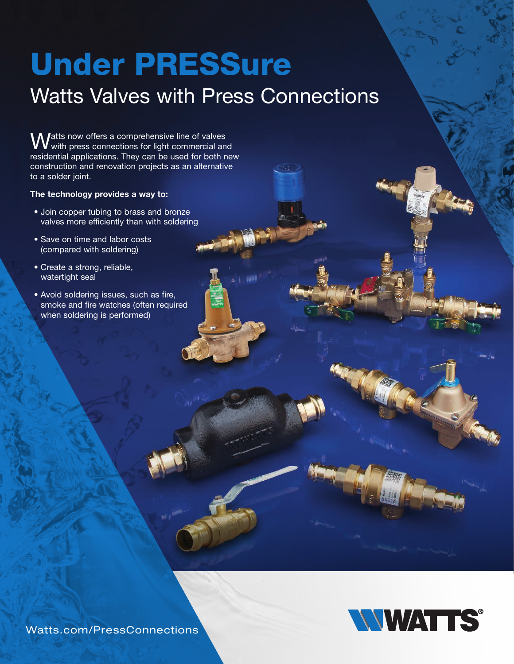## Under PRESSure

## Watts Valves with Press Connections

**Watts now offers a comprehensive line of valves** with press connections for light commercial and residential applications. They can be used for both new construction and renovation projects as an alternative to a solder joint.

## The technology provides a way to:

- Join copper tubing to brass and bronze valves more efficiently than with soldering
- Save on time and labor costs (compared with soldering)
- Create a strong, reliable, watertight seal
- Avoid soldering issues, such as fire, smoke and fire watches (often required when soldering is performed)